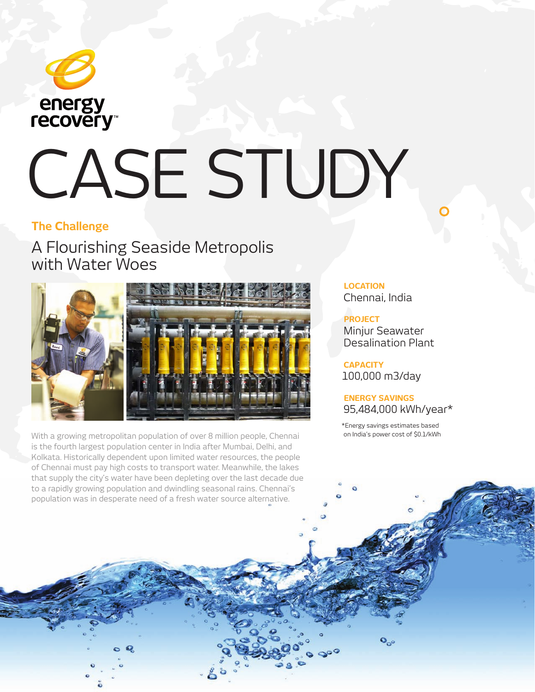

# CASE STUDY

## **The Challenge**

A Flourishing Seaside Metropolis with Water Woes



With a growing metropolitan population of over 8 million people, Chennai is the fourth largest population center in India after Mumbai, Delhi, and Kolkata. Historically dependent upon limited water resources, the people of Chennai must pay high costs to transport water. Meanwhile, the lakes that supply the city's water have been depleting over the last decade due to a rapidly growing population and dwindling seasonal rains. Chennai's population was in desperate need of a fresh water source alternative.

**LOCATION** Chennai, India

**PROJECT** Minjur Seawater Desalination Plant

**CAPACITY** 100,000 m3/day

### **ENERGY SAVINGS**  95,484,000 kWh/year\*

\*Energy savings estimates based on India's power cost of \$0.1/kWh